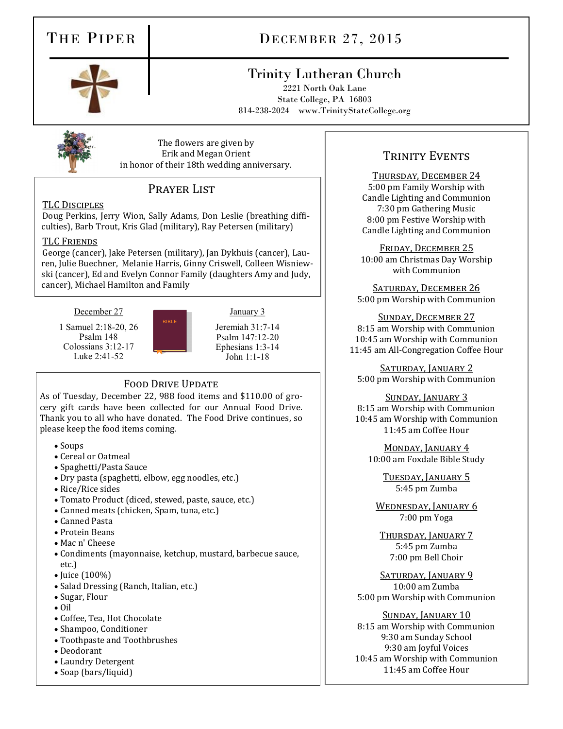# THE PIPER DECEMBER 27, 2015

# Trinity Lutheran Church

2221 North Oak Lane State College, PA 16803 814-238-2024 www.TrinityStateCollege.org

The flowers are given by Erik and Megan Orient in honor of their 18th wedding anniversary.

## PRAYER LIST

## TLC Disciples

Doug Perkins, Jerry Wion, Sally Adams, Don Leslie (breathing difficulties), Barb Trout, Kris Glad (military), Ray Petersen (military)

### TLC Friends

George (cancer), Jake Petersen (military), Jan Dykhuis (cancer), Lauren, Julie Buechner, Melanie Harris, Ginny Criswell, Colleen Wisniewski (cancer), Ed and Evelyn Connor Family (daughters Amy and Judy, cancer), Michael Hamilton and Family

December 27

1 Samuel 2:18-20, 26 Psalm 148 Colossians 3:12-17 Luke 2:41-52



Jeremiah 31:7-14 Psalm 147:12-20 Ephesians 1:3-14 John 1:1-18

January 3

## FOOD DRIVE UPDATE

As of Tuesday, December 22, 988 food items and \$110.00 of grocery gift cards have been collected for our Annual Food Drive. Thank you to all who have donated. The Food Drive continues, so please keep the food items coming.

- Soups
- Cereal or Oatmeal
- Spaghetti/Pasta Sauce
- Dry pasta (spaghetti, elbow, egg noodles, etc.)
- Rice/Rice sides
- Tomato Product (diced, stewed, paste, sauce, etc.)
- Canned meats (chicken, Spam, tuna, etc.)
- Canned Pasta
- Protein Beans
- Mac n' Cheese
- Condiments (mayonnaise, ketchup, mustard, barbecue sauce, etc.)
- $\bullet$  Juice (100%)
- Salad Dressing (Ranch, Italian, etc.)
- Sugar, Flour
- $\bullet$  Oil
- Coffee, Tea, Hot Chocolate
- Shampoo, Conditioner
- Toothpaste and Toothbrushes
- Deodorant
- Laundry Detergent
- Soap (bars/liquid)

## TRINITY EVENTS

# Thursday, December 24

5:00 pm Family Worship with Candle Lighting and Communion 7:30 pm Gathering Music 8:00 pm Festive Worship with Candle Lighting and Communion

FRIDAY, DECEMBER 25 10:00 am Christmas Day Worship with Communion

Saturday, December 26 5:00 pm Worship with Communion

Sunday, December 27 8:15 am Worship with Communion 10:45 am Worship with Communion 11:45 am All-Congregation Coffee Hour

SATURDAY, JANUARY 2 5:00 pm Worship with Communion

Sunday, January 3 8:15 am Worship with Communion 10:45 am Worship with Communion 11:45 am Coffee Hour

Monday, January 4 10:00 am Foxdale Bible Study

> Tuesday, January 5 5:45 pm Zumba

WEDNESDAY, JANUARY 6 7:00 pm Yoga

Thursday, January 7 5:45 pm Zumba 7:00 pm Bell Choir

SATURDAY, JANUARY 9 10:00 am Zumba 5:00 pm Worship with Communion

## SUNDAY, JANUARY 10

8:15 am Worship with Communion 9:30 am Sunday School 9:30 am Joyful Voices 10:45 am Worship with Communion 11:45 am Coffee Hour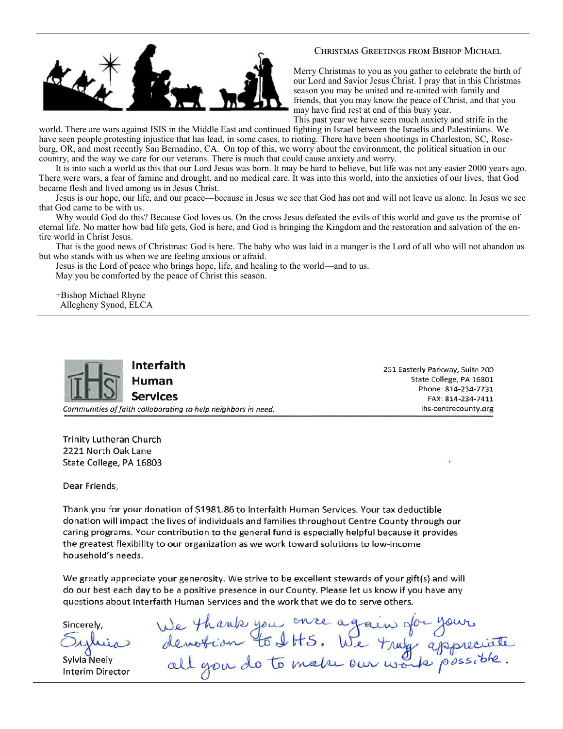

### Christmas Greetings from Bishop Michael

Merry Christmas to you as you gather to celebrate the birth of our Lord and Savior Jesus Christ. I pray that in this Christmas season you may be united and re-united with family and friends, that you may know the peace of Christ, and that you may have find rest at end of this busy year.

This past year we have seen much anxiety and strife in the

world. There are wars against ISIS in the Middle East and continued fighting in Israel between the Israelis and Palestinians. We have seen people protesting injustice that has lead, in some cases, to rioting. There have been shootings in Charleston, SC, Roseburg, OR, and most recently San Bernadino, CA. On top of this, we worry about the environment, the political situation in our country, and the way we care for our veterans. There is much that could cause anxiety and worry.

It is into such a world as this that our Lord Jesus was born. It may be hard to believe, but life was not any easier 2000 years ago. There were wars, a fear of famine and drought, and no medical care. It was into this world, into the anxieties of our lives, that God became flesh and lived among us in Jesus Christ.

Jesus is our hope, our life, and our peace—because in Jesus we see that God has not and will not leave us alone. In Jesus we see that God came to be with us.

Why would God do this? Because God loves us. On the cross Jesus defeated the evils of this world and gave us the promise of eternal life. No matter how bad life gets, God is here, and God is bringing the Kingdom and the restoration and salvation of the entire world in Christ Jesus.

That is the good news of Christmas: God is here. The baby who was laid in a manger is the Lord of all who will not abandon us but who stands with us when we are feeling anxious or afraid.

Jesus is the Lord of peace who brings hope, life, and healing to the world—and to us. May you be comforted by the peace of Christ this season.

+Bishop Michael Rhyne Allegheny Synod, ELCA



Interfaith

Human Services

Communities of faith collaborating to help neighbors in need.

251 Easterly Parkway, Suite 200 State College, PA 16801 Phone: 814-234-7731 FAX: 814-234-7411 ihs-centrecounty.org

**Trinity Lutheran Church** 2221 North Oak Lane State College, PA 16803

Dear Friends,

Thank you for your donation of \$1981.86 to Interfaith Human Services. Your tax deductible donation will impact the lives of individuals and families throughout Centre County through our caring programs. Your contribution to the general fund is especially helpful because it provides the greatest flexibility to our organization as we work toward solutions to low-income household's needs.

We greatly appreciate your generosity. We strive to be excellent stewards of your gift(s) and will do our best each day to be a positive presence in our County. Please let us know if you have any questions about Interfaith Human Services and the work that we do to serve others.

Sincerely.

Sylvia Neely Interim Director

We thank you once again for your<br>denotion to IHS. We tray appreciate<br>all you do to make our work possible.